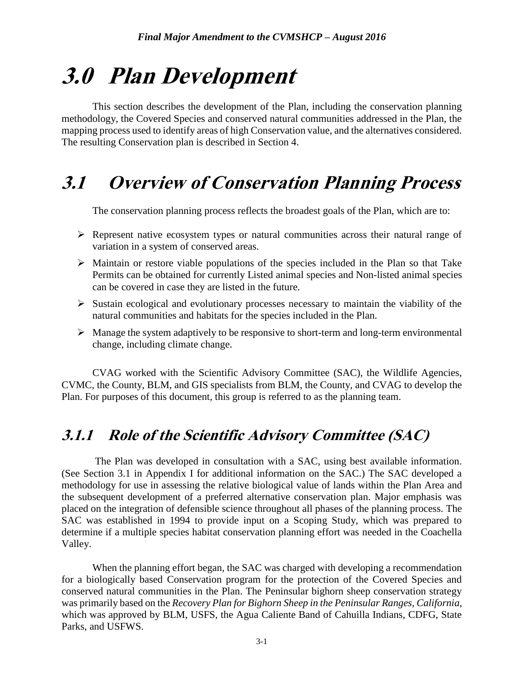# **3.0 Plan Development**

This section describes the development of the Plan, including the conservation planning methodology, the Covered Species and conserved natural communities addressed in the Plan, the mapping process used to identify areas of high Conservation value, and the alternatives considered. The resulting Conservation plan is described in Section 4.

## **3.1 Overview of Conservation Planning Process**

The conservation planning process reflects the broadest goals of the Plan, which are to:

- $\triangleright$  Represent native ecosystem types or natural communities across their natural range of variation in a system of conserved areas.
- $\triangleright$  Maintain or restore viable populations of the species included in the Plan so that Take Permits can be obtained for currently Listed animal species and Non-listed animal species can be covered in case they are listed in the future.
- $\triangleright$  Sustain ecological and evolutionary processes necessary to maintain the viability of the natural communities and habitats for the species included in the Plan.
- $\triangleright$  Manage the system adaptively to be responsive to short-term and long-term environmental change, including climate change.

CVAG worked with the Scientific Advisory Committee (SAC), the Wildlife Agencies, CVMC, the County, BLM, and GIS specialists from BLM, the County, and CVAG to develop the Plan. For purposes of this document, this group is referred to as the planning team.

## **3.1.1 Role of the Scientific Advisory Committee (SAC)**

The Plan was developed in consultation with a SAC, using best available information. (See Section 3.1 in Appendix I for additional information on the SAC.) The SAC developed a methodology for use in assessing the relative biological value of lands within the Plan Area and the subsequent development of a preferred alternative conservation plan. Major emphasis was placed on the integration of defensible science throughout all phases of the planning process. The SAC was established in 1994 to provide input on a Scoping Study, which was prepared to determine if a multiple species habitat conservation planning effort was needed in the Coachella Valley.

When the planning effort began, the SAC was charged with developing a recommendation for a biologically based Conservation program for the protection of the Covered Species and conserved natural communities in the Plan. The Peninsular bighorn sheep conservation strategy was primarily based on the *Recovery Plan for Bighorn Sheep in the Peninsular Ranges, California*, which was approved by BLM, USFS, the Agua Caliente Band of Cahuilla Indians, CDFG, State Parks, and USFWS.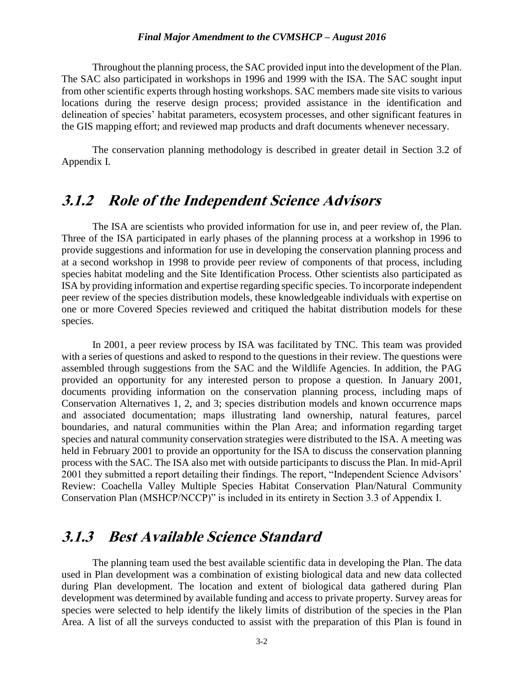Throughout the planning process, the SAC provided input into the development of the Plan. The SAC also participated in workshops in 1996 and 1999 with the ISA. The SAC sought input from other scientific experts through hosting workshops. SAC members made site visits to various locations during the reserve design process; provided assistance in the identification and delineation of species' habitat parameters, ecosystem processes, and other significant features in the GIS mapping effort; and reviewed map products and draft documents whenever necessary.

The conservation planning methodology is described in greater detail in Section 3.2 of Appendix I.

### **3.1.2 Role of the Independent Science Advisors**

The ISA are scientists who provided information for use in, and peer review of, the Plan. Three of the ISA participated in early phases of the planning process at a workshop in 1996 to provide suggestions and information for use in developing the conservation planning process and at a second workshop in 1998 to provide peer review of components of that process, including species habitat modeling and the Site Identification Process. Other scientists also participated as ISA by providing information and expertise regarding specific species. To incorporate independent peer review of the species distribution models, these knowledgeable individuals with expertise on one or more Covered Species reviewed and critiqued the habitat distribution models for these species.

In 2001, a peer review process by ISA was facilitated by TNC. This team was provided with a series of questions and asked to respond to the questions in their review. The questions were assembled through suggestions from the SAC and the Wildlife Agencies. In addition, the PAG provided an opportunity for any interested person to propose a question. In January 2001, documents providing information on the conservation planning process, including maps of Conservation Alternatives 1, 2, and 3; species distribution models and known occurrence maps and associated documentation; maps illustrating land ownership, natural features, parcel boundaries, and natural communities within the Plan Area; and information regarding target species and natural community conservation strategies were distributed to the ISA. A meeting was held in February 2001 to provide an opportunity for the ISA to discuss the conservation planning process with the SAC. The ISA also met with outside participants to discuss the Plan. In mid-April 2001 they submitted a report detailing their findings. The report, "Independent Science Advisors' Review: Coachella Valley Multiple Species Habitat Conservation Plan/Natural Community Conservation Plan (MSHCP/NCCP)" is included in its entirety in Section 3.3 of Appendix I.

### **3.1.3 Best Available Science Standard**

The planning team used the best available scientific data in developing the Plan. The data used in Plan development was a combination of existing biological data and new data collected during Plan development. The location and extent of biological data gathered during Plan development was determined by available funding and access to private property. Survey areas for species were selected to help identify the likely limits of distribution of the species in the Plan Area. A list of all the surveys conducted to assist with the preparation of this Plan is found in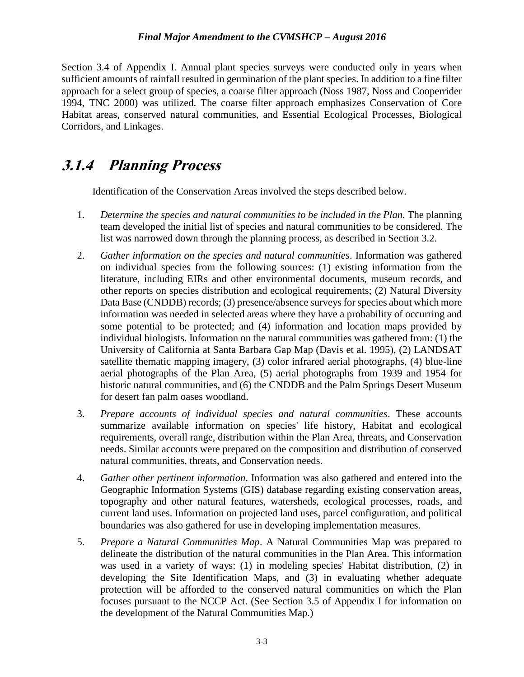Section 3.4 of Appendix I. Annual plant species surveys were conducted only in years when sufficient amounts of rainfall resulted in germination of the plant species. In addition to a fine filter approach for a select group of species, a coarse filter approach (Noss 1987, Noss and Cooperrider 1994, TNC 2000) was utilized. The coarse filter approach emphasizes Conservation of Core Habitat areas, conserved natural communities, and Essential Ecological Processes, Biological Corridors, and Linkages.

## **3.1.4 Planning Process**

Identification of the Conservation Areas involved the steps described below.

- 1. *Determine the species and natural communities to be included in the Plan.* The planning team developed the initial list of species and natural communities to be considered. The list was narrowed down through the planning process, as described in Section 3.2.
- 2. *Gather information on the species and natural communities*. Information was gathered on individual species from the following sources: (1) existing information from the literature, including EIRs and other environmental documents, museum records, and other reports on species distribution and ecological requirements; (2) Natural Diversity Data Base (CNDDB) records; (3) presence/absence surveys for species about which more information was needed in selected areas where they have a probability of occurring and some potential to be protected; and (4) information and location maps provided by individual biologists. Information on the natural communities was gathered from: (1) the University of California at Santa Barbara Gap Map (Davis et al. 1995), (2) LANDSAT satellite thematic mapping imagery, (3) color infrared aerial photographs, (4) blue-line aerial photographs of the Plan Area, (5) aerial photographs from 1939 and 1954 for historic natural communities, and (6) the CNDDB and the Palm Springs Desert Museum for desert fan palm oases woodland.
- 3. *Prepare accounts of individual species and natural communities*. These accounts summarize available information on species' life history, Habitat and ecological requirements, overall range, distribution within the Plan Area, threats, and Conservation needs. Similar accounts were prepared on the composition and distribution of conserved natural communities, threats, and Conservation needs.
- 4. *Gather other pertinent information*. Information was also gathered and entered into the Geographic Information Systems (GIS) database regarding existing conservation areas, topography and other natural features, watersheds, ecological processes, roads, and current land uses. Information on projected land uses, parcel configuration, and political boundaries was also gathered for use in developing implementation measures.
- 5. *Prepare a Natural Communities Map*. A Natural Communities Map was prepared to delineate the distribution of the natural communities in the Plan Area. This information was used in a variety of ways: (1) in modeling species' Habitat distribution, (2) in developing the Site Identification Maps, and (3) in evaluating whether adequate protection will be afforded to the conserved natural communities on which the Plan focuses pursuant to the NCCP Act. (See Section 3.5 of Appendix I for information on the development of the Natural Communities Map.)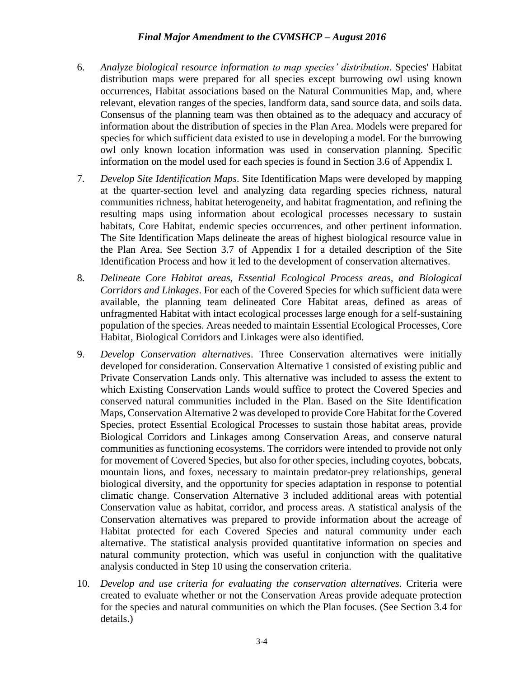- 6. *Analyze biological resource information to map species' distribution*. Species' Habitat distribution maps were prepared for all species except burrowing owl using known occurrences, Habitat associations based on the Natural Communities Map, and, where relevant, elevation ranges of the species, landform data, sand source data, and soils data. Consensus of the planning team was then obtained as to the adequacy and accuracy of information about the distribution of species in the Plan Area. Models were prepared for species for which sufficient data existed to use in developing a model. For the burrowing owl only known location information was used in conservation planning. Specific information on the model used for each species is found in Section 3.6 of Appendix I.
- 7. *Develop Site Identification Maps*. Site Identification Maps were developed by mapping at the quarter-section level and analyzing data regarding species richness, natural communities richness, habitat heterogeneity, and habitat fragmentation, and refining the resulting maps using information about ecological processes necessary to sustain habitats, Core Habitat, endemic species occurrences, and other pertinent information. The Site Identification Maps delineate the areas of highest biological resource value in the Plan Area. See Section 3.7 of Appendix I for a detailed description of the Site Identification Process and how it led to the development of conservation alternatives.
- 8. *Delineate Core Habitat areas, Essential Ecological Process areas, and Biological Corridors and Linkages*. For each of the Covered Species for which sufficient data were available, the planning team delineated Core Habitat areas, defined as areas of unfragmented Habitat with intact ecological processes large enough for a self-sustaining population of the species. Areas needed to maintain Essential Ecological Processes, Core Habitat, Biological Corridors and Linkages were also identified.
- 9. *Develop Conservation alternatives*. Three Conservation alternatives were initially developed for consideration. Conservation Alternative 1 consisted of existing public and Private Conservation Lands only. This alternative was included to assess the extent to which Existing Conservation Lands would suffice to protect the Covered Species and conserved natural communities included in the Plan. Based on the Site Identification Maps, Conservation Alternative 2 was developed to provide Core Habitat for the Covered Species, protect Essential Ecological Processes to sustain those habitat areas, provide Biological Corridors and Linkages among Conservation Areas, and conserve natural communities as functioning ecosystems. The corridors were intended to provide not only for movement of Covered Species, but also for other species, including coyotes, bobcats, mountain lions, and foxes, necessary to maintain predator-prey relationships, general biological diversity, and the opportunity for species adaptation in response to potential climatic change. Conservation Alternative 3 included additional areas with potential Conservation value as habitat, corridor, and process areas. A statistical analysis of the Conservation alternatives was prepared to provide information about the acreage of Habitat protected for each Covered Species and natural community under each alternative. The statistical analysis provided quantitative information on species and natural community protection, which was useful in conjunction with the qualitative analysis conducted in Step 10 using the conservation criteria.
- 10. *Develop and use criteria for evaluating the conservation alternatives*. Criteria were created to evaluate whether or not the Conservation Areas provide adequate protection for the species and natural communities on which the Plan focuses. (See Section 3.4 for details.)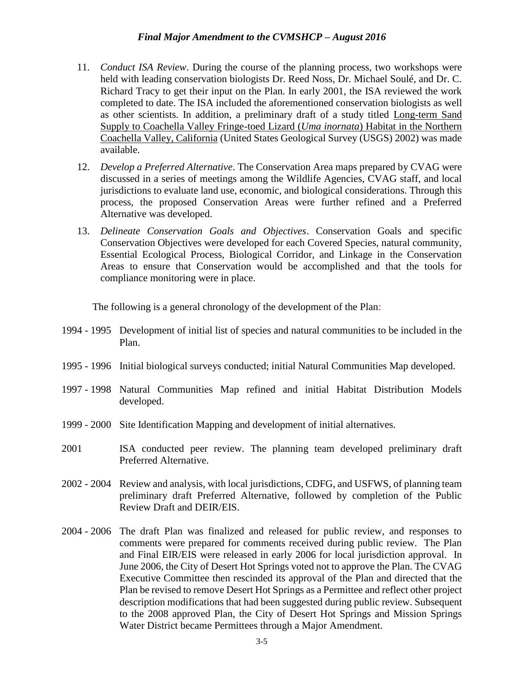- 11. *Conduct ISA Review*. During the course of the planning process, two workshops were held with leading conservation biologists Dr. Reed Noss, Dr. Michael Soulé, and Dr. C. Richard Tracy to get their input on the Plan. In early 2001, the ISA reviewed the work completed to date. The ISA included the aforementioned conservation biologists as well as other scientists. In addition, a preliminary draft of a study titled Long-term Sand Supply to Coachella Valley Fringe-toed Lizard (*Uma inornata*) Habitat in the Northern Coachella Valley, California (United States Geological Survey (USGS) 2002) was made available.
- 12. *Develop a Preferred Alternative*. The Conservation Area maps prepared by CVAG were discussed in a series of meetings among the Wildlife Agencies, CVAG staff, and local jurisdictions to evaluate land use, economic, and biological considerations. Through this process, the proposed Conservation Areas were further refined and a Preferred Alternative was developed.
- 13. *Delineate Conservation Goals and Objectives*. Conservation Goals and specific Conservation Objectives were developed for each Covered Species, natural community, Essential Ecological Process, Biological Corridor, and Linkage in the Conservation Areas to ensure that Conservation would be accomplished and that the tools for compliance monitoring were in place.

The following is a general chronology of the development of the Plan:

- 1994 1995 Development of initial list of species and natural communities to be included in the Plan.
- 1995 1996 Initial biological surveys conducted; initial Natural Communities Map developed.
- 1997 1998 Natural Communities Map refined and initial Habitat Distribution Models developed.
- 1999 2000 Site Identification Mapping and development of initial alternatives.
- 2001 ISA conducted peer review. The planning team developed preliminary draft Preferred Alternative.
- 2002 2004 Review and analysis, with local jurisdictions, CDFG, and USFWS, of planning team preliminary draft Preferred Alternative, followed by completion of the Public Review Draft and DEIR/EIS.
- 2004 2006 The draft Plan was finalized and released for public review, and responses to comments were prepared for comments received during public review. The Plan and Final EIR/EIS were released in early 2006 for local jurisdiction approval. In June 2006, the City of Desert Hot Springs voted not to approve the Plan. The CVAG Executive Committee then rescinded its approval of the Plan and directed that the Plan be revised to remove Desert Hot Springs as a Permittee and reflect other project description modifications that had been suggested during public review. Subsequent to the 2008 approved Plan, the City of Desert Hot Springs and Mission Springs Water District became Permittees through a Major Amendment.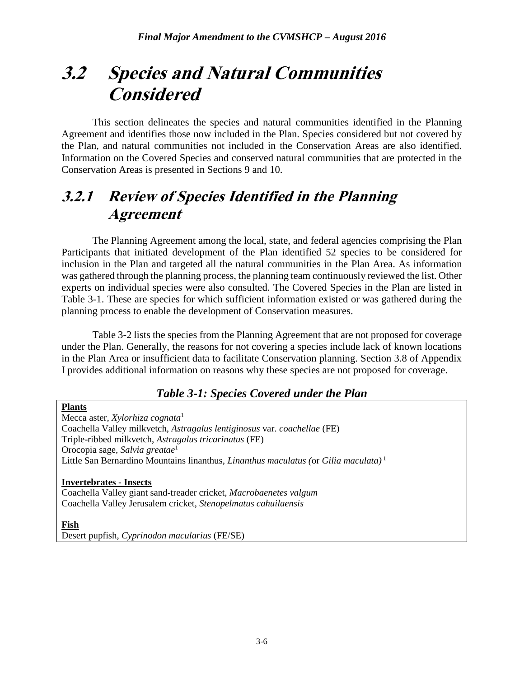## **3.2 Species and Natural Communities Considered**

This section delineates the species and natural communities identified in the Planning Agreement and identifies those now included in the Plan. Species considered but not covered by the Plan, and natural communities not included in the Conservation Areas are also identified. Information on the Covered Species and conserved natural communities that are protected in the Conservation Areas is presented in Sections 9 and 10.

## **3.2.1 Review of Species Identified in the Planning Agreement**

The Planning Agreement among the local, state, and federal agencies comprising the Plan Participants that initiated development of the Plan identified 52 species to be considered for inclusion in the Plan and targeted all the natural communities in the Plan Area. As information was gathered through the planning process, the planning team continuously reviewed the list. Other experts on individual species were also consulted. The Covered Species in the Plan are listed in Table 3-1. These are species for which sufficient information existed or was gathered during the planning process to enable the development of Conservation measures.

Table 3-2 lists the species from the Planning Agreement that are not proposed for coverage under the Plan. Generally, the reasons for not covering a species include lack of known locations in the Plan Area or insufficient data to facilitate Conservation planning. Section 3.8 of Appendix I provides additional information on reasons why these species are not proposed for coverage.

#### *Table 3-1: Species Covered under the Plan*

**Plants** Mecca aster, *Xylorhiza cognata*<sup>1</sup> Coachella Valley milkvetch, *Astragalus lentiginosus* var. *coachellae* (FE) Triple-ribbed milkvetch, *Astragalus tricarinatus* (FE) Orocopia sage, *Salvia greatae*<sup>1</sup> Little San Bernardino Mountains linanthus, *Linanthus maculatus (*or *Gilia maculata)* <sup>1</sup>

**Invertebrates - Insects** Coachella Valley giant sand-treader cricket, *Macrobaenetes valgum*  Coachella Valley Jerusalem cricket, *Stenopelmatus cahuilaensis* 

#### **Fish**

Desert pupfish, *Cyprinodon macularius* (FE/SE)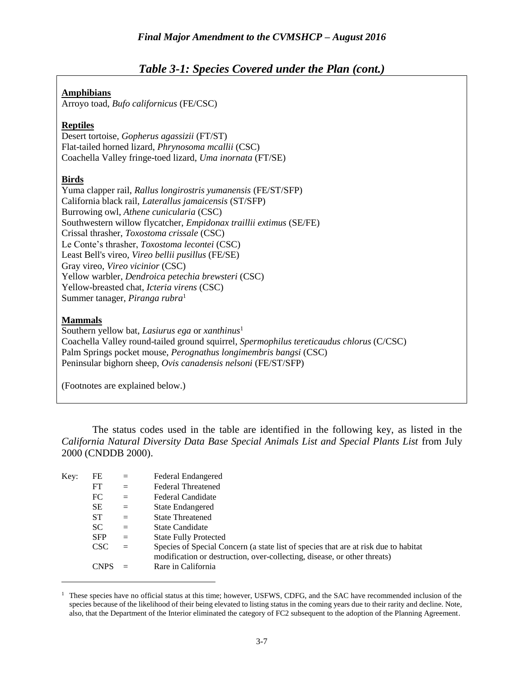#### *Table 3-1: Species Covered under the Plan (cont.)*

#### **Amphibians**

Arroyo toad, *Bufo californicus* (FE/CSC)

#### **Reptiles**

Desert tortoise, *Gopherus agassizii* (FT/ST) Flat-tailed horned lizard, *Phrynosoma mcallii* (CSC) Coachella Valley fringe-toed lizard, *Uma inornata* (FT/SE)

#### **Birds**

Yuma clapper rail, *Rallus longirostris yumanensis* (FE/ST/SFP) California black rail, *Laterallus jamaicensis* (ST/SFP) Burrowing owl, *Athene cunicularia* (CSC) Southwestern willow flycatcher, *Empidonax traillii extimus* (SE/FE) Crissal thrasher, *Toxostoma crissale* (CSC) Le Conte's thrasher, *Toxostoma lecontei* (CSC) Least Bell's vireo, *Vireo bellii pusillus* (FE/SE) Gray vireo, *Vireo vicinior* (CSC) Yellow warbler, *Dendroica petechia brewsteri* (CSC) Yellow-breasted chat, *Icteria virens* (CSC) Summer tanager, *Piranga rubra*<sup>1</sup>

#### **Mammals**

Southern yellow bat, *Lasiurus ega* or *xanthinus*<sup>1</sup> Coachella Valley round-tailed ground squirrel, *Spermophilus tereticaudus chlorus* (C/CSC) Palm Springs pocket mouse, *Perognathus longimembris bangsi* (CSC) Peninsular bighorn sheep, *Ovis canadensis nelsoni* (FE/ST/SFP)

(Footnotes are explained below.)

The status codes used in the table are identified in the following key, as listed in the *California Natural Diversity Data Base Special Animals List and Special Plants List* from July 2000 (CNDDB 2000).

| Key: | FE         | $=$ | Federal Endangered                                                                                                                                              |
|------|------------|-----|-----------------------------------------------------------------------------------------------------------------------------------------------------------------|
|      | FT         | $=$ | <b>Federal Threatened</b>                                                                                                                                       |
|      | FC         | $=$ | <b>Federal Candidate</b>                                                                                                                                        |
|      | <b>SE</b>  | $=$ | State Endangered                                                                                                                                                |
|      | <b>ST</b>  | $=$ | <b>State Threatened</b>                                                                                                                                         |
|      | <b>SC</b>  | $=$ | <b>State Candidate</b>                                                                                                                                          |
|      | <b>SFP</b> | $=$ | <b>State Fully Protected</b>                                                                                                                                    |
|      | CSC.       | $=$ | Species of Special Concern (a state list of species that are at risk due to habitat<br>modification or destruction, over-collecting, disease, or other threats) |
|      | CNP.       |     | Rare in California                                                                                                                                              |

<sup>1</sup>These species have no official status at this time; however, USFWS, CDFG, and the SAC have recommended inclusion of the species because of the likelihood of their being elevated to listing status in the coming years due to their rarity and decline. Note, also, that the Department of the Interior eliminated the category of FC2 subsequent to the adoption of the Planning Agreement.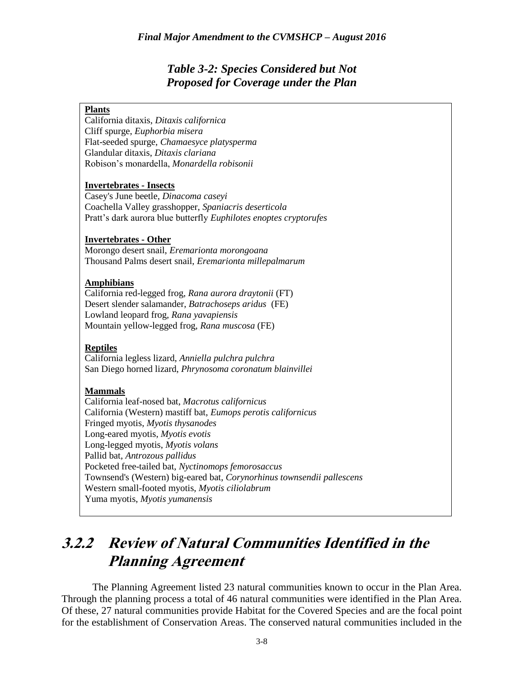#### *Table 3-2: Species Considered but Not Proposed for Coverage under the Plan*

#### **Plants**

California ditaxis, *Ditaxis californica* Cliff spurge, *Euphorbia misera* Flat-seeded spurge, *Chamaesyce platysperma* Glandular ditaxis, *Ditaxis clariana* Robison's monardella, *Monardella robisonii*

#### **Invertebrates - Insects**

Casey's June beetle, *Dinacoma caseyi* Coachella Valley grasshopper, *Spaniacris deserticola* Pratt's dark aurora blue butterfly *Euphilotes enoptes cryptorufes* 

#### **Invertebrates - Other**

Morongo desert snail, *Eremarionta morongoana* Thousand Palms desert snail, *Eremarionta millepalmarum*

#### **Amphibians**

California red-legged frog, *Rana aurora draytonii* (FT) Desert slender salamander, *Batrachoseps aridus* (FE) Lowland leopard frog, *Rana yavapiensis* Mountain yellow-legged frog, *Rana muscosa* (FE)

#### **Reptiles**

California legless lizard, *Anniella pulchra pulchra* San Diego horned lizard, *Phrynosoma coronatum blainvillei*

#### **Mammals**

California leaf-nosed bat, *Macrotus californicus* California (Western) mastiff bat, *Eumops perotis californicus* Fringed myotis, *Myotis thysanodes* Long-eared myotis, *Myotis evotis* Long-legged myotis, *Myotis volans* Pallid bat, *Antrozous pallidus* Pocketed free-tailed bat, *Nyctinomops femorosaccus* Townsend's (Western) big-eared bat, *Corynorhinus townsendii pallescens* Western small-footed myotis, *Myotis ciliolabrum* Yuma myotis, *Myotis yumanensis*

## **3.2.2 Review of Natural Communities Identified in the Planning Agreement**

The Planning Agreement listed 23 natural communities known to occur in the Plan Area. Through the planning process a total of 46 natural communities were identified in the Plan Area. Of these, 27 natural communities provide Habitat for the Covered Species and are the focal point for the establishment of Conservation Areas. The conserved natural communities included in the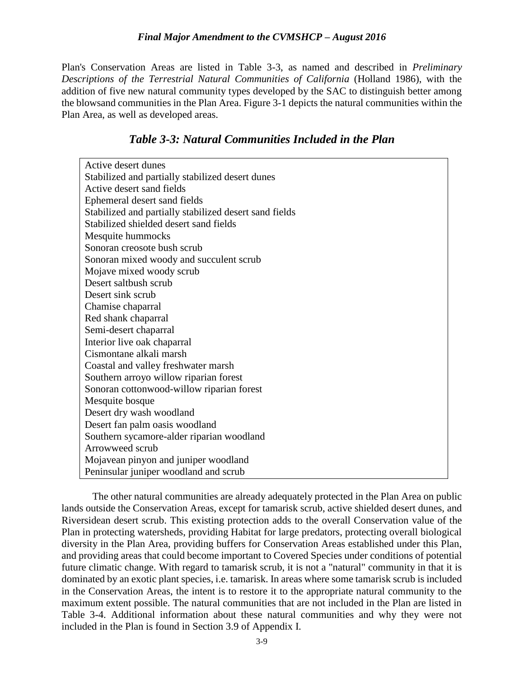Plan's Conservation Areas are listed in Table 3-3, as named and described in *Preliminary Descriptions of the Terrestrial Natural Communities of California* (Holland 1986), with the addition of five new natural community types developed by the SAC to distinguish better among the blowsand communities in the Plan Area. Figure 3-1 depicts the natural communities within the Plan Area, as well as developed areas.

#### *Table 3-3: Natural Communities Included in the Plan*

| Active desert dunes                                    |  |  |
|--------------------------------------------------------|--|--|
| Stabilized and partially stabilized desert dunes       |  |  |
| Active desert sand fields                              |  |  |
| Ephemeral desert sand fields                           |  |  |
| Stabilized and partially stabilized desert sand fields |  |  |
| Stabilized shielded desert sand fields                 |  |  |
| Mesquite hummocks                                      |  |  |
| Sonoran creosote bush scrub                            |  |  |
| Sonoran mixed woody and succulent scrub                |  |  |
| Mojave mixed woody scrub                               |  |  |
| Desert saltbush scrub                                  |  |  |
| Desert sink scrub                                      |  |  |
| Chamise chaparral                                      |  |  |
| Red shank chaparral                                    |  |  |
| Semi-desert chaparral                                  |  |  |
| Interior live oak chaparral                            |  |  |
| Cismontane alkali marsh                                |  |  |
| Coastal and valley freshwater marsh                    |  |  |
| Southern arroyo willow riparian forest                 |  |  |
| Sonoran cottonwood-willow riparian forest              |  |  |
| Mesquite bosque                                        |  |  |
| Desert dry wash woodland                               |  |  |
| Desert fan palm oasis woodland                         |  |  |
| Southern sycamore-alder riparian woodland              |  |  |
| Arrowweed scrub                                        |  |  |
| Mojavean pinyon and juniper woodland                   |  |  |
| Peninsular juniper woodland and scrub                  |  |  |

The other natural communities are already adequately protected in the Plan Area on public lands outside the Conservation Areas, except for tamarisk scrub, active shielded desert dunes, and Riversidean desert scrub. This existing protection adds to the overall Conservation value of the Plan in protecting watersheds, providing Habitat for large predators, protecting overall biological diversity in the Plan Area, providing buffers for Conservation Areas established under this Plan, and providing areas that could become important to Covered Species under conditions of potential future climatic change. With regard to tamarisk scrub, it is not a "natural" community in that it is dominated by an exotic plant species, i.e. tamarisk. In areas where some tamarisk scrub is included in the Conservation Areas, the intent is to restore it to the appropriate natural community to the maximum extent possible. The natural communities that are not included in the Plan are listed in Table 3-4. Additional information about these natural communities and why they were not included in the Plan is found in Section 3.9 of Appendix I.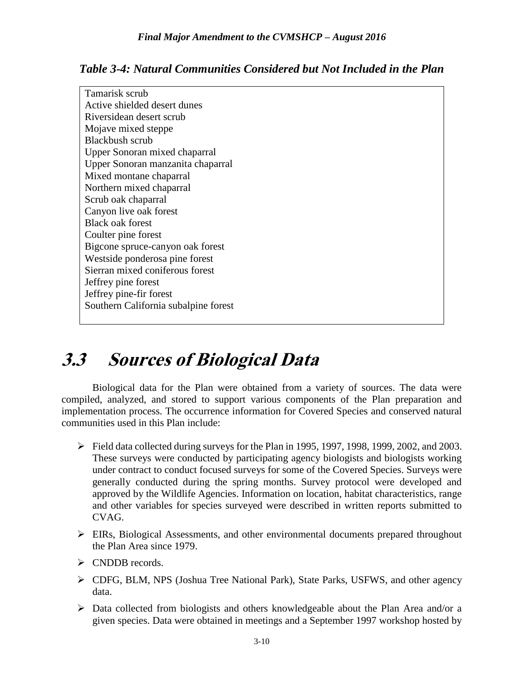*Table 3-4: Natural Communities Considered but Not Included in the Plan*

| Tamarisk scrub                       |  |  |  |
|--------------------------------------|--|--|--|
| Active shielded desert dunes         |  |  |  |
| Riversidean desert scrub             |  |  |  |
| Mojave mixed steppe                  |  |  |  |
| Blackbush scrub                      |  |  |  |
| Upper Sonoran mixed chaparral        |  |  |  |
| Upper Sonoran manzanita chaparral    |  |  |  |
| Mixed montane chaparral              |  |  |  |
| Northern mixed chaparral             |  |  |  |
| Scrub oak chaparral                  |  |  |  |
| Canyon live oak forest               |  |  |  |
| <b>Black oak forest</b>              |  |  |  |
| Coulter pine forest                  |  |  |  |
| Bigcone spruce-canyon oak forest     |  |  |  |
| Westside ponderosa pine forest       |  |  |  |
| Sierran mixed coniferous forest      |  |  |  |
| Jeffrey pine forest                  |  |  |  |
| Jeffrey pine-fir forest              |  |  |  |
| Southern California subalpine forest |  |  |  |
|                                      |  |  |  |

## **3.3 Sources of Biological Data**

Biological data for the Plan were obtained from a variety of sources. The data were compiled, analyzed, and stored to support various components of the Plan preparation and implementation process. The occurrence information for Covered Species and conserved natural communities used in this Plan include:

- Field data collected during surveys for the Plan in 1995, 1997, 1998, 1999, 2002, and 2003. These surveys were conducted by participating agency biologists and biologists working under contract to conduct focused surveys for some of the Covered Species. Surveys were generally conducted during the spring months. Survey protocol were developed and approved by the Wildlife Agencies. Information on location, habitat characteristics, range and other variables for species surveyed were described in written reports submitted to CVAG.
- $\triangleright$  EIRs, Biological Assessments, and other environmental documents prepared throughout the Plan Area since 1979.
- $\triangleright$  CNDDB records.
- CDFG, BLM, NPS (Joshua Tree National Park), State Parks, USFWS, and other agency data.
- $\triangleright$  Data collected from biologists and others knowledgeable about the Plan Area and/or a given species. Data were obtained in meetings and a September 1997 workshop hosted by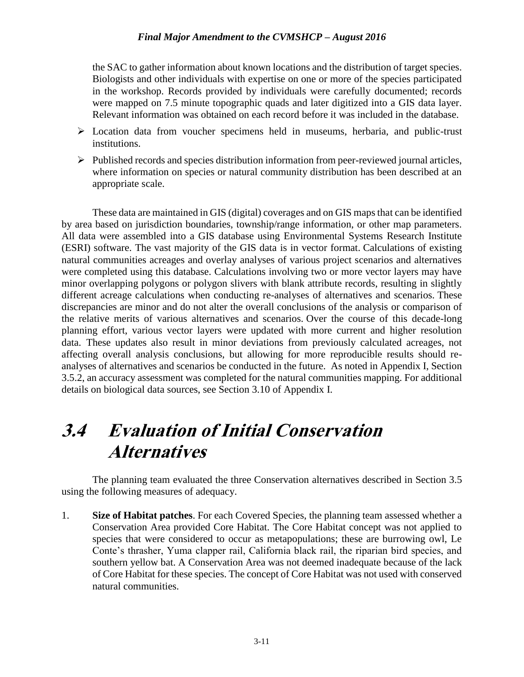the SAC to gather information about known locations and the distribution of target species. Biologists and other individuals with expertise on one or more of the species participated in the workshop. Records provided by individuals were carefully documented; records were mapped on 7.5 minute topographic quads and later digitized into a GIS data layer. Relevant information was obtained on each record before it was included in the database.

- Location data from voucher specimens held in museums, herbaria, and public-trust institutions.
- $\triangleright$  Published records and species distribution information from peer-reviewed journal articles, where information on species or natural community distribution has been described at an appropriate scale.

These data are maintained in GIS (digital) coverages and on GIS maps that can be identified by area based on jurisdiction boundaries, township/range information, or other map parameters. All data were assembled into a GIS database using Environmental Systems Research Institute (ESRI) software. The vast majority of the GIS data is in vector format. Calculations of existing natural communities acreages and overlay analyses of various project scenarios and alternatives were completed using this database. Calculations involving two or more vector layers may have minor overlapping polygons or polygon slivers with blank attribute records, resulting in slightly different acreage calculations when conducting re-analyses of alternatives and scenarios. These discrepancies are minor and do not alter the overall conclusions of the analysis or comparison of the relative merits of various alternatives and scenarios. Over the course of this decade-long planning effort, various vector layers were updated with more current and higher resolution data. These updates also result in minor deviations from previously calculated acreages, not affecting overall analysis conclusions, but allowing for more reproducible results should reanalyses of alternatives and scenarios be conducted in the future. As noted in Appendix I, Section 3.5.2, an accuracy assessment was completed for the natural communities mapping. For additional details on biological data sources, see Section 3.10 of Appendix I.

## **3.4 Evaluation of Initial Conservation Alternatives**

The planning team evaluated the three Conservation alternatives described in Section 3.5 using the following measures of adequacy.

1. **Size of Habitat patches**. For each Covered Species, the planning team assessed whether a Conservation Area provided Core Habitat. The Core Habitat concept was not applied to species that were considered to occur as metapopulations; these are burrowing owl, Le Conte's thrasher, Yuma clapper rail, California black rail, the riparian bird species, and southern yellow bat. A Conservation Area was not deemed inadequate because of the lack of Core Habitat for these species. The concept of Core Habitat was not used with conserved natural communities.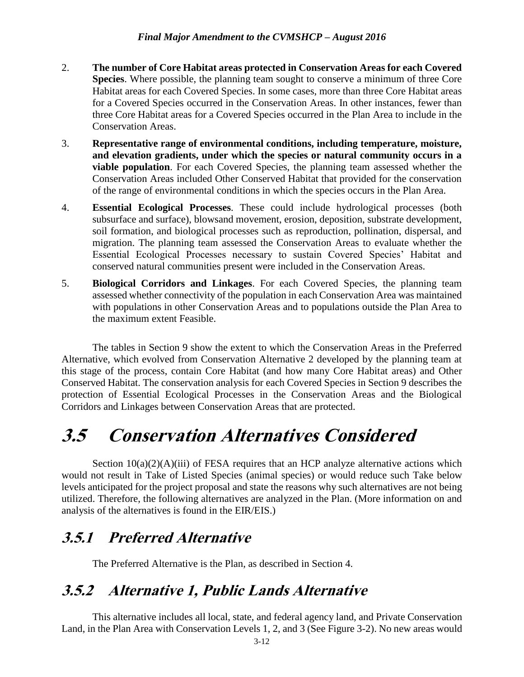- 2. **The number of Core Habitat areas protected in Conservation Areas for each Covered Species**. Where possible, the planning team sought to conserve a minimum of three Core Habitat areas for each Covered Species. In some cases, more than three Core Habitat areas for a Covered Species occurred in the Conservation Areas. In other instances, fewer than three Core Habitat areas for a Covered Species occurred in the Plan Area to include in the Conservation Areas.
- 3. **Representative range of environmental conditions, including temperature, moisture, and elevation gradients, under which the species or natural community occurs in a viable population**. For each Covered Species, the planning team assessed whether the Conservation Areas included Other Conserved Habitat that provided for the conservation of the range of environmental conditions in which the species occurs in the Plan Area.
- 4. **Essential Ecological Processes**. These could include hydrological processes (both subsurface and surface), blowsand movement, erosion, deposition, substrate development, soil formation, and biological processes such as reproduction, pollination, dispersal, and migration. The planning team assessed the Conservation Areas to evaluate whether the Essential Ecological Processes necessary to sustain Covered Species' Habitat and conserved natural communities present were included in the Conservation Areas.
- 5. **Biological Corridors and Linkages**. For each Covered Species, the planning team assessed whether connectivity of the population in each Conservation Area was maintained with populations in other Conservation Areas and to populations outside the Plan Area to the maximum extent Feasible.

The tables in Section 9 show the extent to which the Conservation Areas in the Preferred Alternative, which evolved from Conservation Alternative 2 developed by the planning team at this stage of the process, contain Core Habitat (and how many Core Habitat areas) and Other Conserved Habitat. The conservation analysis for each Covered Species in Section 9 describes the protection of Essential Ecological Processes in the Conservation Areas and the Biological Corridors and Linkages between Conservation Areas that are protected.

## **3.5 Conservation Alternatives Considered**

Section  $10(a)(2)(A)(iii)$  of FESA requires that an HCP analyze alternative actions which would not result in Take of Listed Species (animal species) or would reduce such Take below levels anticipated for the project proposal and state the reasons why such alternatives are not being utilized. Therefore, the following alternatives are analyzed in the Plan. (More information on and analysis of the alternatives is found in the EIR/EIS.)

## **3.5.1 Preferred Alternative**

The Preferred Alternative is the Plan, as described in Section 4.

## **3.5.2 Alternative 1, Public Lands Alternative**

This alternative includes all local, state, and federal agency land, and Private Conservation Land, in the Plan Area with Conservation Levels 1, 2, and 3 (See Figure 3-2). No new areas would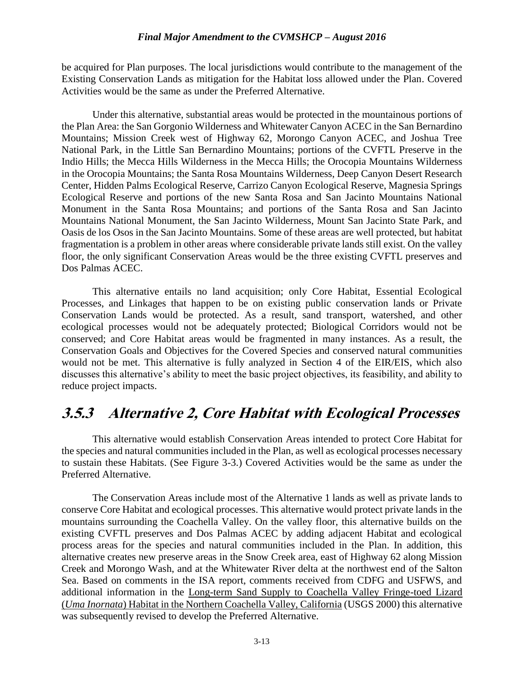be acquired for Plan purposes. The local jurisdictions would contribute to the management of the Existing Conservation Lands as mitigation for the Habitat loss allowed under the Plan. Covered Activities would be the same as under the Preferred Alternative.

Under this alternative, substantial areas would be protected in the mountainous portions of the Plan Area: the San Gorgonio Wilderness and Whitewater Canyon ACEC in the San Bernardino Mountains; Mission Creek west of Highway 62, Morongo Canyon ACEC, and Joshua Tree National Park, in the Little San Bernardino Mountains; portions of the CVFTL Preserve in the Indio Hills; the Mecca Hills Wilderness in the Mecca Hills; the Orocopia Mountains Wilderness in the Orocopia Mountains; the Santa Rosa Mountains Wilderness, Deep Canyon Desert Research Center, Hidden Palms Ecological Reserve, Carrizo Canyon Ecological Reserve, Magnesia Springs Ecological Reserve and portions of the new Santa Rosa and San Jacinto Mountains National Monument in the Santa Rosa Mountains; and portions of the Santa Rosa and San Jacinto Mountains National Monument, the San Jacinto Wilderness, Mount San Jacinto State Park, and Oasis de los Osos in the San Jacinto Mountains. Some of these areas are well protected, but habitat fragmentation is a problem in other areas where considerable private lands still exist. On the valley floor, the only significant Conservation Areas would be the three existing CVFTL preserves and Dos Palmas ACEC.

This alternative entails no land acquisition; only Core Habitat, Essential Ecological Processes, and Linkages that happen to be on existing public conservation lands or Private Conservation Lands would be protected. As a result, sand transport, watershed, and other ecological processes would not be adequately protected; Biological Corridors would not be conserved; and Core Habitat areas would be fragmented in many instances. As a result, the Conservation Goals and Objectives for the Covered Species and conserved natural communities would not be met. This alternative is fully analyzed in Section 4 of the EIR/EIS, which also discusses this alternative's ability to meet the basic project objectives, its feasibility, and ability to reduce project impacts.

### **3.5.3 Alternative 2, Core Habitat with Ecological Processes**

This alternative would establish Conservation Areas intended to protect Core Habitat for the species and natural communities included in the Plan, as well as ecological processes necessary to sustain these Habitats. (See Figure 3-3.) Covered Activities would be the same as under the Preferred Alternative.

The Conservation Areas include most of the Alternative 1 lands as well as private lands to conserve Core Habitat and ecological processes. This alternative would protect private lands in the mountains surrounding the Coachella Valley. On the valley floor, this alternative builds on the existing CVFTL preserves and Dos Palmas ACEC by adding adjacent Habitat and ecological process areas for the species and natural communities included in the Plan. In addition, this alternative creates new preserve areas in the Snow Creek area, east of Highway 62 along Mission Creek and Morongo Wash, and at the Whitewater River delta at the northwest end of the Salton Sea. Based on comments in the ISA report, comments received from CDFG and USFWS, and additional information in the Long-term Sand Supply to Coachella Valley Fringe-toed Lizard (*Uma Inornata*) Habitat in the Northern Coachella Valley, California (USGS 2000) this alternative was subsequently revised to develop the Preferred Alternative.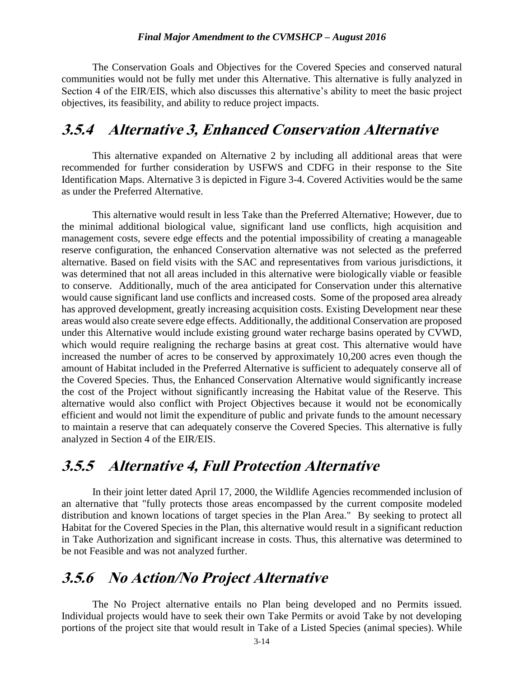The Conservation Goals and Objectives for the Covered Species and conserved natural communities would not be fully met under this Alternative. This alternative is fully analyzed in Section 4 of the EIR/EIS, which also discusses this alternative's ability to meet the basic project objectives, its feasibility, and ability to reduce project impacts.

### **3.5.4 Alternative 3, Enhanced Conservation Alternative**

This alternative expanded on Alternative 2 by including all additional areas that were recommended for further consideration by USFWS and CDFG in their response to the Site Identification Maps. Alternative 3 is depicted in Figure 3-4. Covered Activities would be the same as under the Preferred Alternative.

This alternative would result in less Take than the Preferred Alternative; However, due to the minimal additional biological value, significant land use conflicts, high acquisition and management costs, severe edge effects and the potential impossibility of creating a manageable reserve configuration, the enhanced Conservation alternative was not selected as the preferred alternative. Based on field visits with the SAC and representatives from various jurisdictions, it was determined that not all areas included in this alternative were biologically viable or feasible to conserve. Additionally, much of the area anticipated for Conservation under this alternative would cause significant land use conflicts and increased costs. Some of the proposed area already has approved development, greatly increasing acquisition costs. Existing Development near these areas would also create severe edge effects. Additionally, the additional Conservation are proposed under this Alternative would include existing ground water recharge basins operated by CVWD, which would require realigning the recharge basins at great cost. This alternative would have increased the number of acres to be conserved by approximately 10,200 acres even though the amount of Habitat included in the Preferred Alternative is sufficient to adequately conserve all of the Covered Species. Thus, the Enhanced Conservation Alternative would significantly increase the cost of the Project without significantly increasing the Habitat value of the Reserve. This alternative would also conflict with Project Objectives because it would not be economically efficient and would not limit the expenditure of public and private funds to the amount necessary to maintain a reserve that can adequately conserve the Covered Species. This alternative is fully analyzed in Section 4 of the EIR/EIS.

### **3.5.5 Alternative 4, Full Protection Alternative**

In their joint letter dated April 17, 2000, the Wildlife Agencies recommended inclusion of an alternative that "fully protects those areas encompassed by the current composite modeled distribution and known locations of target species in the Plan Area." By seeking to protect all Habitat for the Covered Species in the Plan, this alternative would result in a significant reduction in Take Authorization and significant increase in costs. Thus, this alternative was determined to be not Feasible and was not analyzed further.

### **3.5.6 No Action/No Project Alternative**

The No Project alternative entails no Plan being developed and no Permits issued. Individual projects would have to seek their own Take Permits or avoid Take by not developing portions of the project site that would result in Take of a Listed Species (animal species). While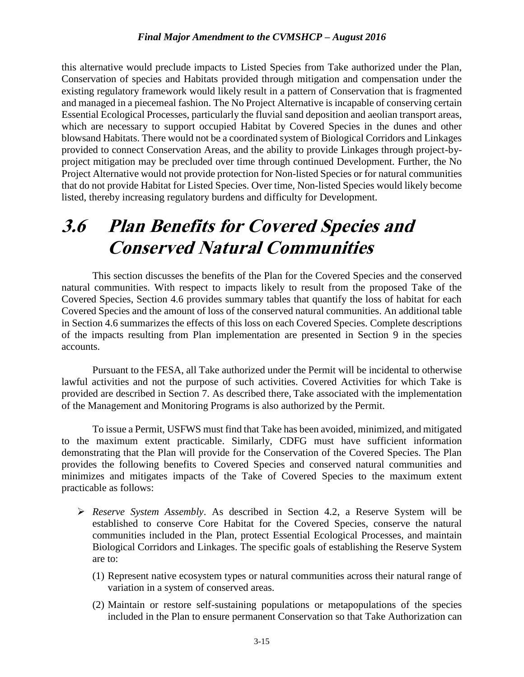this alternative would preclude impacts to Listed Species from Take authorized under the Plan, Conservation of species and Habitats provided through mitigation and compensation under the existing regulatory framework would likely result in a pattern of Conservation that is fragmented and managed in a piecemeal fashion. The No Project Alternative is incapable of conserving certain Essential Ecological Processes, particularly the fluvial sand deposition and aeolian transport areas, which are necessary to support occupied Habitat by Covered Species in the dunes and other blowsand Habitats. There would not be a coordinated system of Biological Corridors and Linkages provided to connect Conservation Areas, and the ability to provide Linkages through project-byproject mitigation may be precluded over time through continued Development. Further, the No Project Alternative would not provide protection for Non-listed Species or for natural communities that do not provide Habitat for Listed Species. Over time, Non-listed Species would likely become listed, thereby increasing regulatory burdens and difficulty for Development.

## **3.6 Plan Benefits for Covered Species and Conserved Natural Communities**

This section discusses the benefits of the Plan for the Covered Species and the conserved natural communities. With respect to impacts likely to result from the proposed Take of the Covered Species, Section 4.6 provides summary tables that quantify the loss of habitat for each Covered Species and the amount of loss of the conserved natural communities. An additional table in Section 4.6 summarizes the effects of this loss on each Covered Species. Complete descriptions of the impacts resulting from Plan implementation are presented in Section 9 in the species accounts.

Pursuant to the FESA, all Take authorized under the Permit will be incidental to otherwise lawful activities and not the purpose of such activities. Covered Activities for which Take is provided are described in Section 7. As described there, Take associated with the implementation of the Management and Monitoring Programs is also authorized by the Permit.

To issue a Permit, USFWS must find that Take has been avoided, minimized, and mitigated to the maximum extent practicable. Similarly, CDFG must have sufficient information demonstrating that the Plan will provide for the Conservation of the Covered Species. The Plan provides the following benefits to Covered Species and conserved natural communities and minimizes and mitigates impacts of the Take of Covered Species to the maximum extent practicable as follows:

- *Reserve System Assembly*. As described in Section 4.2, a Reserve System will be established to conserve Core Habitat for the Covered Species, conserve the natural communities included in the Plan, protect Essential Ecological Processes, and maintain Biological Corridors and Linkages. The specific goals of establishing the Reserve System are to:
	- (1) Represent native ecosystem types or natural communities across their natural range of variation in a system of conserved areas.
	- (2) Maintain or restore self-sustaining populations or metapopulations of the species included in the Plan to ensure permanent Conservation so that Take Authorization can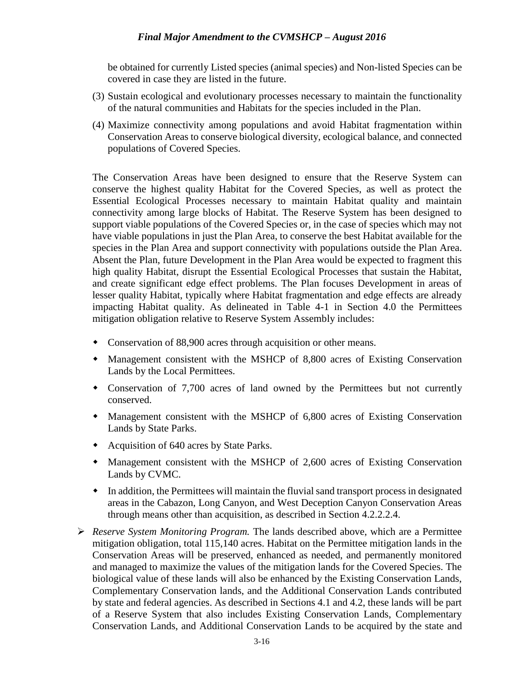be obtained for currently Listed species (animal species) and Non-listed Species can be covered in case they are listed in the future.

- (3) Sustain ecological and evolutionary processes necessary to maintain the functionality of the natural communities and Habitats for the species included in the Plan.
- (4) Maximize connectivity among populations and avoid Habitat fragmentation within Conservation Areas to conserve biological diversity, ecological balance, and connected populations of Covered Species.

The Conservation Areas have been designed to ensure that the Reserve System can conserve the highest quality Habitat for the Covered Species, as well as protect the Essential Ecological Processes necessary to maintain Habitat quality and maintain connectivity among large blocks of Habitat. The Reserve System has been designed to support viable populations of the Covered Species or, in the case of species which may not have viable populations in just the Plan Area, to conserve the best Habitat available for the species in the Plan Area and support connectivity with populations outside the Plan Area. Absent the Plan, future Development in the Plan Area would be expected to fragment this high quality Habitat, disrupt the Essential Ecological Processes that sustain the Habitat, and create significant edge effect problems. The Plan focuses Development in areas of lesser quality Habitat, typically where Habitat fragmentation and edge effects are already impacting Habitat quality. As delineated in Table 4-1 in Section 4.0 the Permittees mitigation obligation relative to Reserve System Assembly includes:

- Conservation of 88,900 acres through acquisition or other means.
- Management consistent with the MSHCP of 8,800 acres of Existing Conservation Lands by the Local Permittees.
- Conservation of 7,700 acres of land owned by the Permittees but not currently conserved.
- Management consistent with the MSHCP of 6,800 acres of Existing Conservation Lands by State Parks.
- Acquisition of 640 acres by State Parks.
- Management consistent with the MSHCP of 2,600 acres of Existing Conservation Lands by CVMC.
- In addition, the Permittees will maintain the fluvial sand transport process in designated areas in the Cabazon, Long Canyon, and West Deception Canyon Conservation Areas through means other than acquisition, as described in Section 4.2.2.2.4.
- *Reserve System Monitoring Program.* The lands described above, which are a Permittee mitigation obligation, total 115,140 acres. Habitat on the Permittee mitigation lands in the Conservation Areas will be preserved, enhanced as needed, and permanently monitored and managed to maximize the values of the mitigation lands for the Covered Species. The biological value of these lands will also be enhanced by the Existing Conservation Lands, Complementary Conservation lands, and the Additional Conservation Lands contributed by state and federal agencies. As described in Sections 4.1 and 4.2, these lands will be part of a Reserve System that also includes Existing Conservation Lands, Complementary Conservation Lands, and Additional Conservation Lands to be acquired by the state and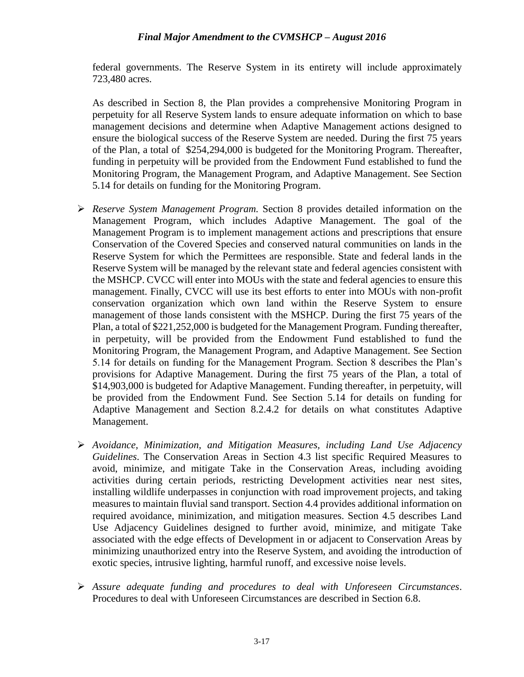federal governments. The Reserve System in its entirety will include approximately 723,480 acres.

As described in Section 8, the Plan provides a comprehensive Monitoring Program in perpetuity for all Reserve System lands to ensure adequate information on which to base management decisions and determine when Adaptive Management actions designed to ensure the biological success of the Reserve System are needed. During the first 75 years of the Plan, a total of \$254,294,000 is budgeted for the Monitoring Program. Thereafter, funding in perpetuity will be provided from the Endowment Fund established to fund the Monitoring Program, the Management Program, and Adaptive Management. See Section 5.14 for details on funding for the Monitoring Program.

- *Reserve System Management Program.* Section 8 provides detailed information on the Management Program, which includes Adaptive Management. The goal of the Management Program is to implement management actions and prescriptions that ensure Conservation of the Covered Species and conserved natural communities on lands in the Reserve System for which the Permittees are responsible. State and federal lands in the Reserve System will be managed by the relevant state and federal agencies consistent with the MSHCP. CVCC will enter into MOUs with the state and federal agencies to ensure this management. Finally, CVCC will use its best efforts to enter into MOUs with non-profit conservation organization which own land within the Reserve System to ensure management of those lands consistent with the MSHCP. During the first 75 years of the Plan, a total of \$221,252,000 is budgeted for the Management Program. Funding thereafter, in perpetuity, will be provided from the Endowment Fund established to fund the Monitoring Program, the Management Program, and Adaptive Management. See Section 5.14 for details on funding for the Management Program. Section 8 describes the Plan's provisions for Adaptive Management. During the first 75 years of the Plan, a total of \$14,903,000 is budgeted for Adaptive Management. Funding thereafter, in perpetuity, will be provided from the Endowment Fund. See Section 5.14 for details on funding for Adaptive Management and Section 8.2.4.2 for details on what constitutes Adaptive Management.
- *Avoidance, Minimization, and Mitigation Measures, including Land Use Adjacency Guidelines*. The Conservation Areas in Section 4.3 list specific Required Measures to avoid, minimize, and mitigate Take in the Conservation Areas, including avoiding activities during certain periods, restricting Development activities near nest sites, installing wildlife underpasses in conjunction with road improvement projects, and taking measures to maintain fluvial sand transport. Section 4.4 provides additional information on required avoidance, minimization, and mitigation measures. Section 4.5 describes Land Use Adjacency Guidelines designed to further avoid, minimize, and mitigate Take associated with the edge effects of Development in or adjacent to Conservation Areas by minimizing unauthorized entry into the Reserve System, and avoiding the introduction of exotic species, intrusive lighting, harmful runoff, and excessive noise levels.
- *Assure adequate funding and procedures to deal with Unforeseen Circumstances*. Procedures to deal with Unforeseen Circumstances are described in Section 6.8.